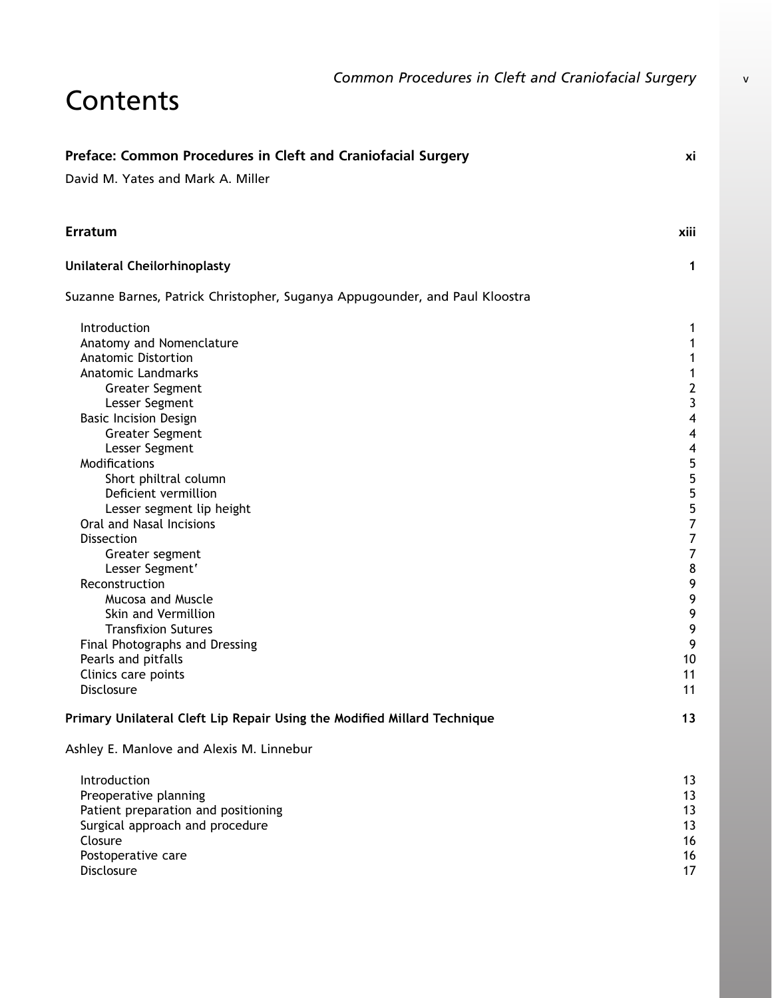## Contents

| Preface: Common Procedures in Cleft and Craniofacial Surgery                | хi                      |
|-----------------------------------------------------------------------------|-------------------------|
| David M. Yates and Mark A. Miller                                           |                         |
| <b>Erratum</b>                                                              | xiii                    |
| Unilateral Cheilorhinoplasty                                                | 1                       |
| Suzanne Barnes, Patrick Christopher, Suganya Appugounder, and Paul Kloostra |                         |
| Introduction                                                                | 1                       |
| Anatomy and Nomenclature                                                    | 1                       |
| <b>Anatomic Distortion</b>                                                  | 1                       |
| <b>Anatomic Landmarks</b>                                                   | 1                       |
| <b>Greater Segment</b>                                                      | $\overline{\mathbf{c}}$ |
| Lesser Segment                                                              | 3                       |
| <b>Basic Incision Design</b>                                                | $\overline{\mathbf{4}}$ |
| <b>Greater Segment</b>                                                      | $\overline{\mathbf{4}}$ |
| Lesser Segment                                                              | $\overline{\mathbf{4}}$ |
| Modifications                                                               | 5                       |
| Short philtral column                                                       | 5                       |
| Deficient vermillion                                                        | 5                       |
| Lesser segment lip height                                                   | 5                       |
| Oral and Nasal Incisions                                                    | $\overline{7}$          |
| <b>Dissection</b>                                                           | $\overline{7}$          |
| Greater segment                                                             | $\overline{7}$          |
| Lesser Segment'                                                             | 8                       |
| Reconstruction                                                              | 9                       |
| <b>Mucosa and Muscle</b>                                                    | 9                       |
| Skin and Vermillion                                                         | 9                       |
| <b>Transfixion Sutures</b>                                                  | 9                       |
| Final Photographs and Dressing                                              | 9                       |
| Pearls and pitfalls                                                         | 10                      |
| Clinics care points                                                         | 11                      |
| Disclosure                                                                  | 11                      |
| Primary Unilateral Cleft Lip Repair Using the Modified Millard Technique    | 13                      |
| Ashley E. Manlove and Alexis M. Linnebur                                    |                         |
| Introduction                                                                | 13                      |
| Preoperative planning                                                       | 13                      |
| Patient preparation and positioning                                         | 13                      |
| Surgical approach and procedure                                             | 13                      |
| Closure                                                                     | 16                      |
| Postoperative care                                                          | 16                      |
| Disclosure                                                                  | 17                      |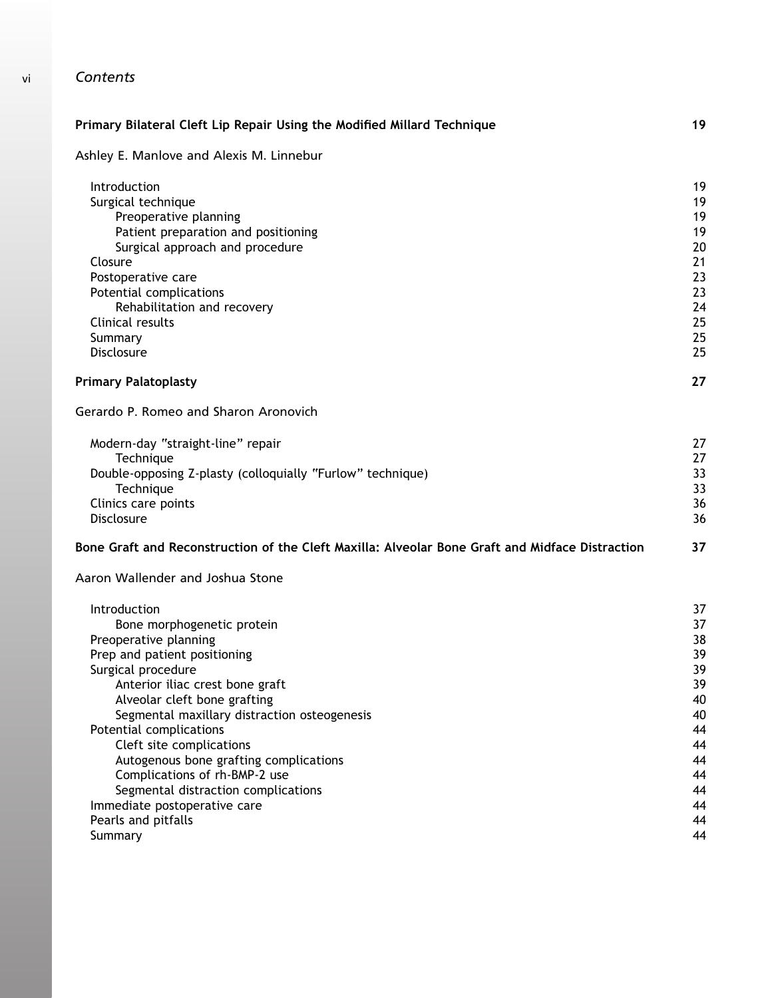| Primary Bilateral Cleft Lip Repair Using the Modified Millard Technique                         | 19 |
|-------------------------------------------------------------------------------------------------|----|
| Ashley E. Manlove and Alexis M. Linnebur                                                        |    |
| Introduction                                                                                    | 19 |
| Surgical technique                                                                              | 19 |
| Preoperative planning                                                                           | 19 |
| Patient preparation and positioning                                                             | 19 |
| Surgical approach and procedure                                                                 | 20 |
| Closure                                                                                         | 21 |
| Postoperative care                                                                              | 23 |
| Potential complications                                                                         | 23 |
| Rehabilitation and recovery                                                                     | 24 |
| Clinical results                                                                                | 25 |
| Summary                                                                                         | 25 |
| Disclosure                                                                                      | 25 |
| <b>Primary Palatoplasty</b>                                                                     | 27 |
| Gerardo P. Romeo and Sharon Aronovich                                                           |    |
| Modern-day "straight-line" repair                                                               | 27 |
| Technique                                                                                       | 27 |
| Double-opposing Z-plasty (colloquially "Furlow" technique)                                      | 33 |
| Technique                                                                                       | 33 |
| Clinics care points                                                                             | 36 |
| <b>Disclosure</b>                                                                               | 36 |
| Bone Graft and Reconstruction of the Cleft Maxilla: Alveolar Bone Graft and Midface Distraction | 37 |
| Aaron Wallender and Joshua Stone                                                                |    |
| Introduction                                                                                    | 37 |
| Bone morphogenetic protein                                                                      | 37 |
| Preoperative planning                                                                           | 38 |
| Prep and patient positioning                                                                    | 39 |
| Surgical procedure                                                                              | 39 |
| Anterior iliac crest bone graft                                                                 | 39 |
| Alveolar cleft bone grafting                                                                    | 40 |
| Segmental maxillary distraction osteogenesis                                                    | 40 |
| Potential complications                                                                         | 44 |
| Cleft site complications                                                                        | 44 |
| Autogenous bone grafting complications                                                          | 44 |
| Complications of rh-BMP-2 use                                                                   | 44 |
| Segmental distraction complications                                                             | 44 |
| Immediate postoperative care                                                                    | 44 |
| Pearls and pitfalls                                                                             | 44 |
| Summary                                                                                         | 44 |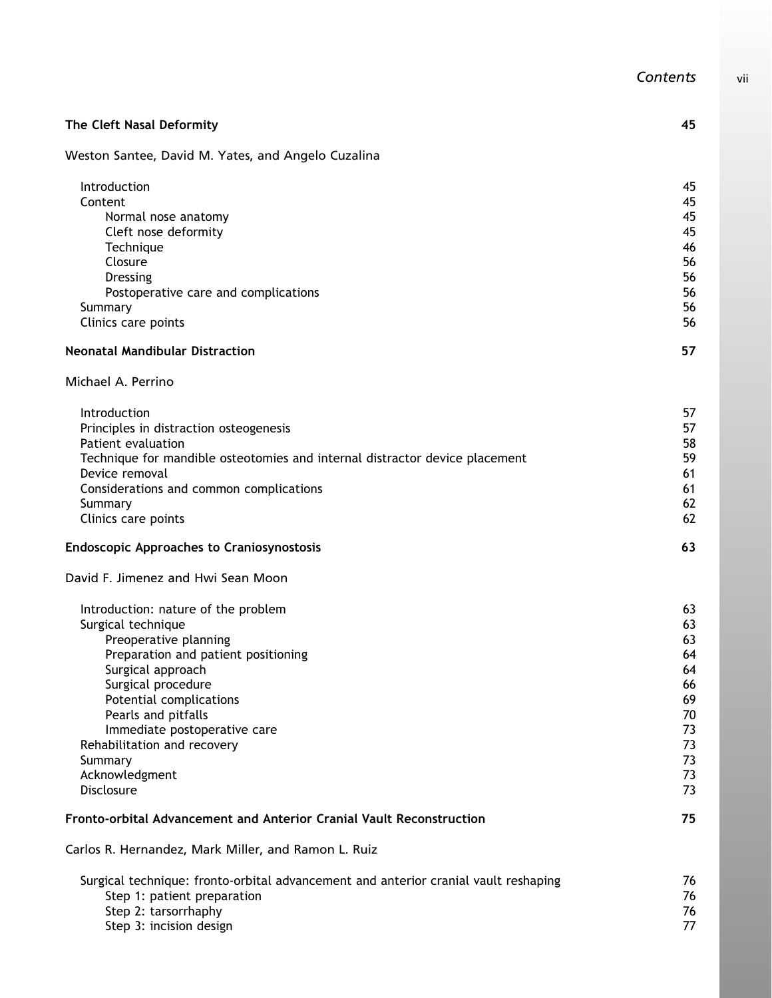| The Cleft Nasal Deformity                                                           | 45       |
|-------------------------------------------------------------------------------------|----------|
| Weston Santee, David M. Yates, and Angelo Cuzalina                                  |          |
| Introduction                                                                        | 45       |
| Content                                                                             | 45       |
| Normal nose anatomy                                                                 | 45       |
| Cleft nose deformity                                                                | 45       |
| Technique                                                                           | 46       |
| Closure<br>Dressing                                                                 | 56<br>56 |
| Postoperative care and complications                                                | 56       |
| Summary                                                                             | 56       |
| Clinics care points                                                                 | 56       |
| <b>Neonatal Mandibular Distraction</b>                                              | 57       |
| Michael A. Perrino                                                                  |          |
| Introduction                                                                        | 57       |
| Principles in distraction osteogenesis                                              | 57       |
| Patient evaluation                                                                  | 58       |
| Technique for mandible osteotomies and internal distractor device placement         | 59       |
| Device removal                                                                      | 61       |
| Considerations and common complications                                             | 61<br>62 |
| Summary<br>Clinics care points                                                      | 62       |
| <b>Endoscopic Approaches to Craniosynostosis</b>                                    | 63       |
| David F. Jimenez and Hwi Sean Moon                                                  |          |
| Introduction: nature of the problem                                                 | 63       |
| Surgical technique                                                                  | 63       |
| Preoperative planning                                                               | 63       |
| Preparation and patient positioning                                                 | 64       |
| Surgical approach                                                                   | 64       |
| Surgical procedure                                                                  | 66       |
| Potential complications                                                             | 69       |
| Pearls and pitfalls                                                                 | 70       |
| Immediate postoperative care<br>Rehabilitation and recovery                         | 73<br>73 |
| Summary                                                                             | 73       |
| Acknowledgment                                                                      | 73       |
| Disclosure                                                                          | 73       |
| Fronto-orbital Advancement and Anterior Cranial Vault Reconstruction                | 75       |
| Carlos R. Hernandez, Mark Miller, and Ramon L. Ruiz                                 |          |
| Surgical technique: fronto-orbital advancement and anterior cranial vault reshaping | 76       |
| Step 1: patient preparation                                                         | 76       |
| Step 2: tarsorrhaphy                                                                | 76       |
| Step 3: incision design                                                             | 77       |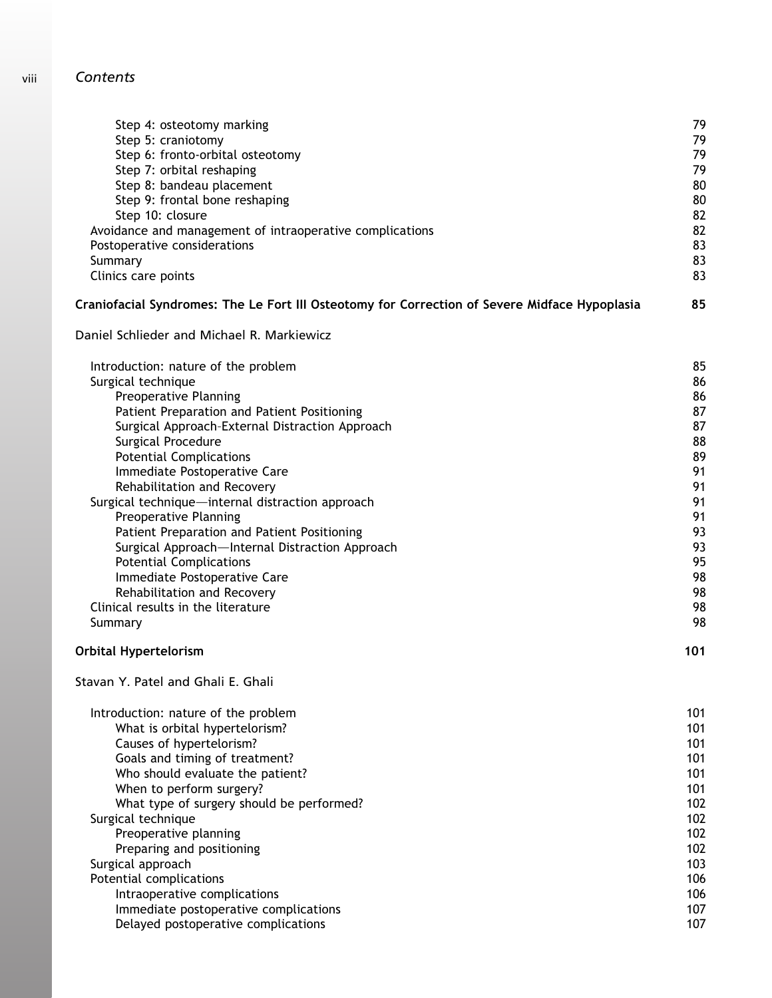| Step 4: osteotomy marking                                                                     | 79  |
|-----------------------------------------------------------------------------------------------|-----|
| Step 5: craniotomy                                                                            | 79  |
| Step 6: fronto-orbital osteotomy                                                              | 79  |
| Step 7: orbital reshaping                                                                     | 79  |
| Step 8: bandeau placement                                                                     | 80  |
| Step 9: frontal bone reshaping                                                                | 80  |
| Step 10: closure                                                                              | 82  |
| Avoidance and management of intraoperative complications                                      | 82  |
| Postoperative considerations                                                                  | 83  |
| Summary                                                                                       | 83  |
| Clinics care points                                                                           | 83  |
| Craniofacial Syndromes: The Le Fort III Osteotomy for Correction of Severe Midface Hypoplasia | 85  |
| Daniel Schlieder and Michael R. Markiewicz                                                    |     |
| Introduction: nature of the problem                                                           | 85  |
| Surgical technique                                                                            | 86  |
| Preoperative Planning                                                                         | 86  |
| Patient Preparation and Patient Positioning                                                   | 87  |
| Surgical Approach-External Distraction Approach                                               | 87  |
| Surgical Procedure                                                                            | 88  |
| <b>Potential Complications</b>                                                                | 89  |
| Immediate Postoperative Care                                                                  | 91  |
| Rehabilitation and Recovery                                                                   | 91  |
| Surgical technique-internal distraction approach                                              | 91  |
| Preoperative Planning                                                                         | 91  |
| Patient Preparation and Patient Positioning                                                   | 93  |
| Surgical Approach-Internal Distraction Approach                                               | 93  |
| <b>Potential Complications</b>                                                                | 95  |
| Immediate Postoperative Care                                                                  | 98  |
| Rehabilitation and Recovery                                                                   | 98  |
| Clinical results in the literature                                                            | 98  |
| Summary                                                                                       | 98  |
| <b>Orbital Hypertelorism</b>                                                                  | 101 |
| Stavan Y. Patel and Ghali E. Ghali                                                            |     |
| Introduction: nature of the problem                                                           | 101 |
| What is orbital hypertelorism?                                                                | 101 |
| Causes of hypertelorism?                                                                      | 101 |
| Goals and timing of treatment?                                                                | 101 |
| Who should evaluate the patient?                                                              | 101 |
| When to perform surgery?                                                                      | 101 |
| What type of surgery should be performed?                                                     | 102 |
| Surgical technique                                                                            | 102 |
| Preoperative planning                                                                         | 102 |
| Preparing and positioning                                                                     | 102 |
| Surgical approach                                                                             | 103 |
| Potential complications                                                                       | 106 |
| Intraoperative complications                                                                  | 106 |
| Immediate postoperative complications                                                         | 107 |
| Delayed postoperative complications                                                           | 107 |